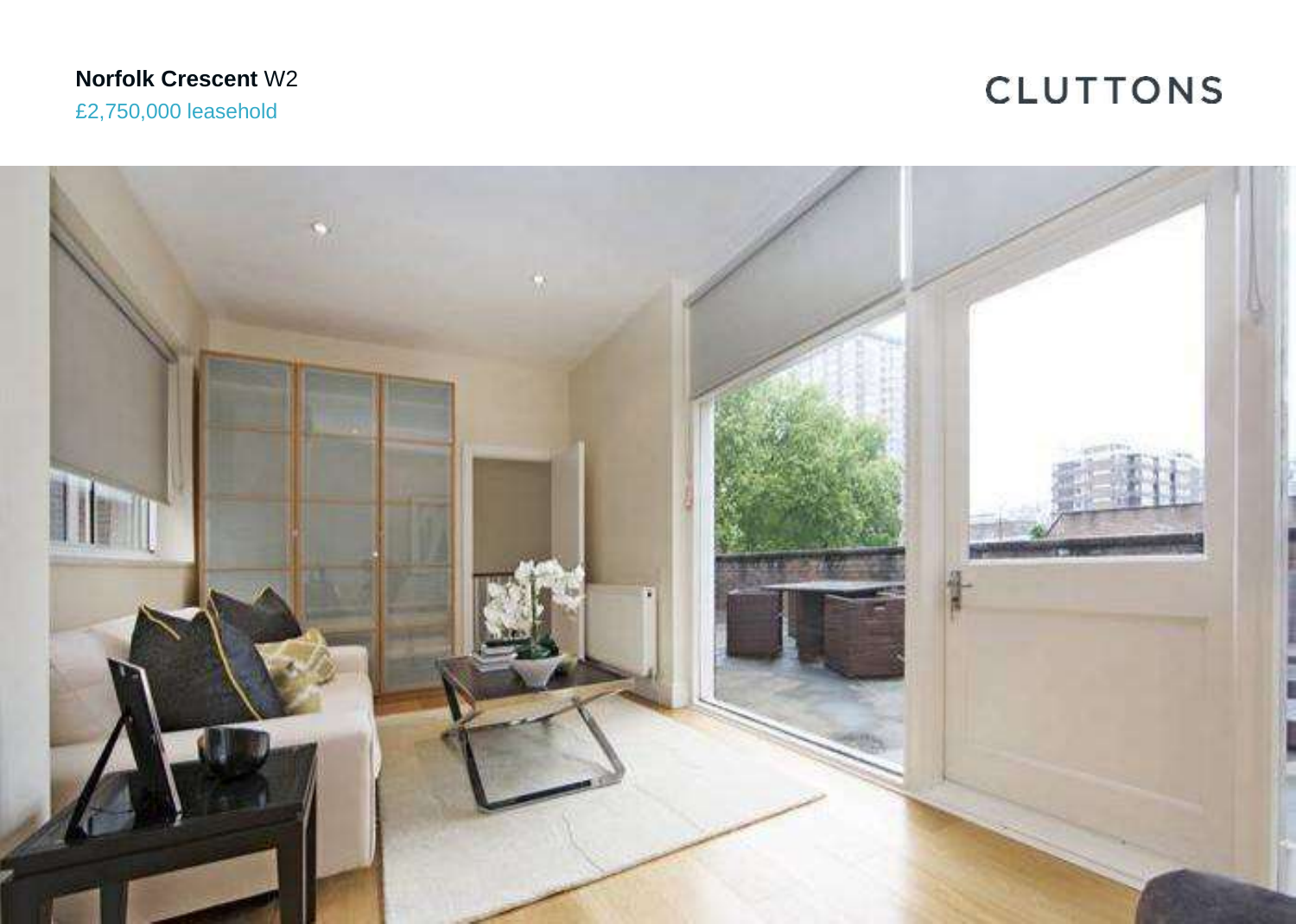**Norfolk Crescent** W2 £2,750,000 leasehold



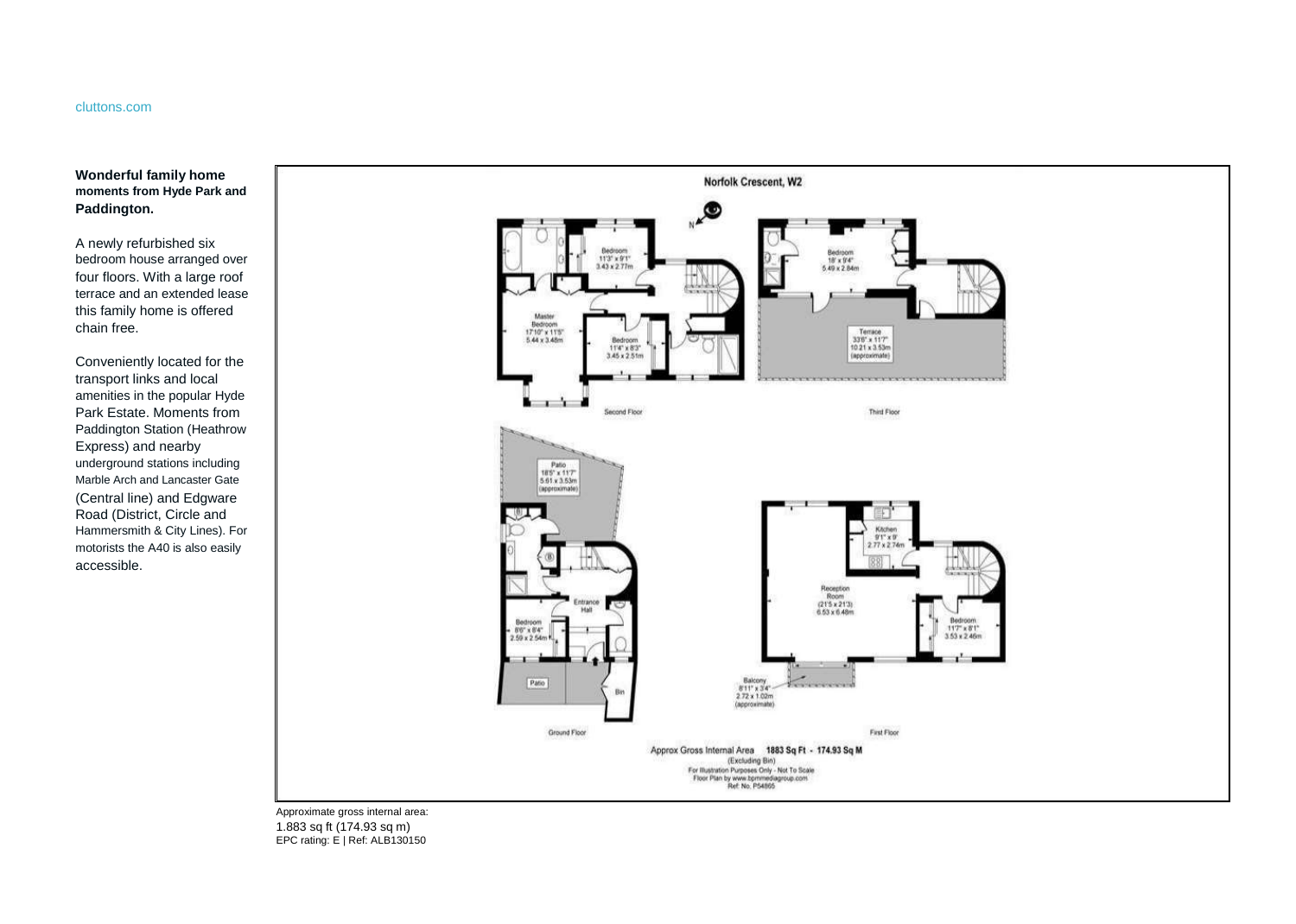

**Wonderful family home moments from Hyde Park and Paddington.**

A newly refurbished six bedroom house arranged over four floors. With a large roof terrace and an extended lease this family home is offered chain free.

Conveniently located for the transport links and local amenities in the popular Hyde Park Estate. Moments from Paddington Station (Heathrow Express) and nearby underground stations including Marble Arch and Lancaster Gate (Central line) and Edgware Road (District, Circle and Hammersmith & City Lines). For motorists the A40 is also easily accessible.



Approximate gross internal area: 1.883 sq ft (174.93 sq m) EPC rating: E | Ref: ALB130150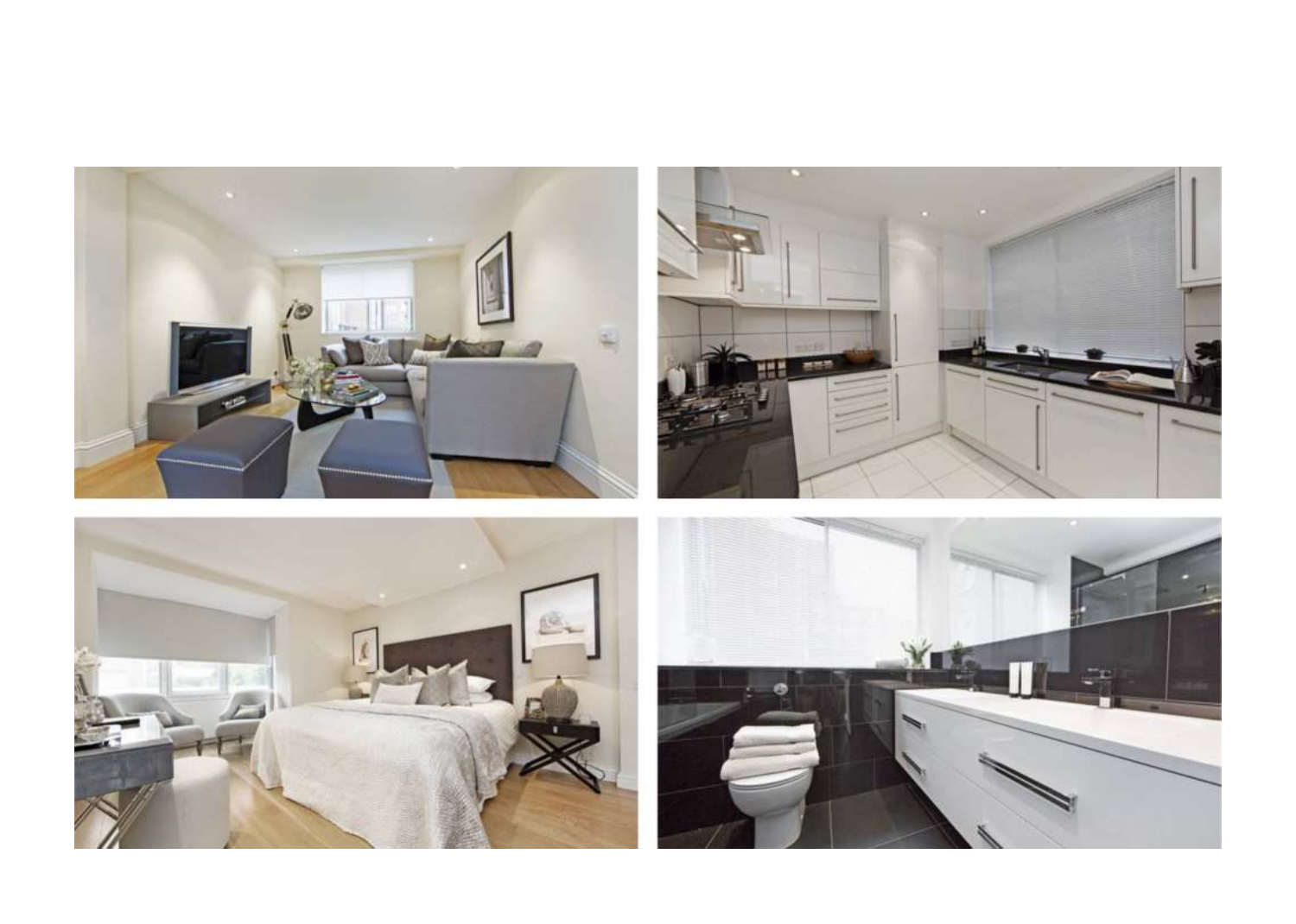